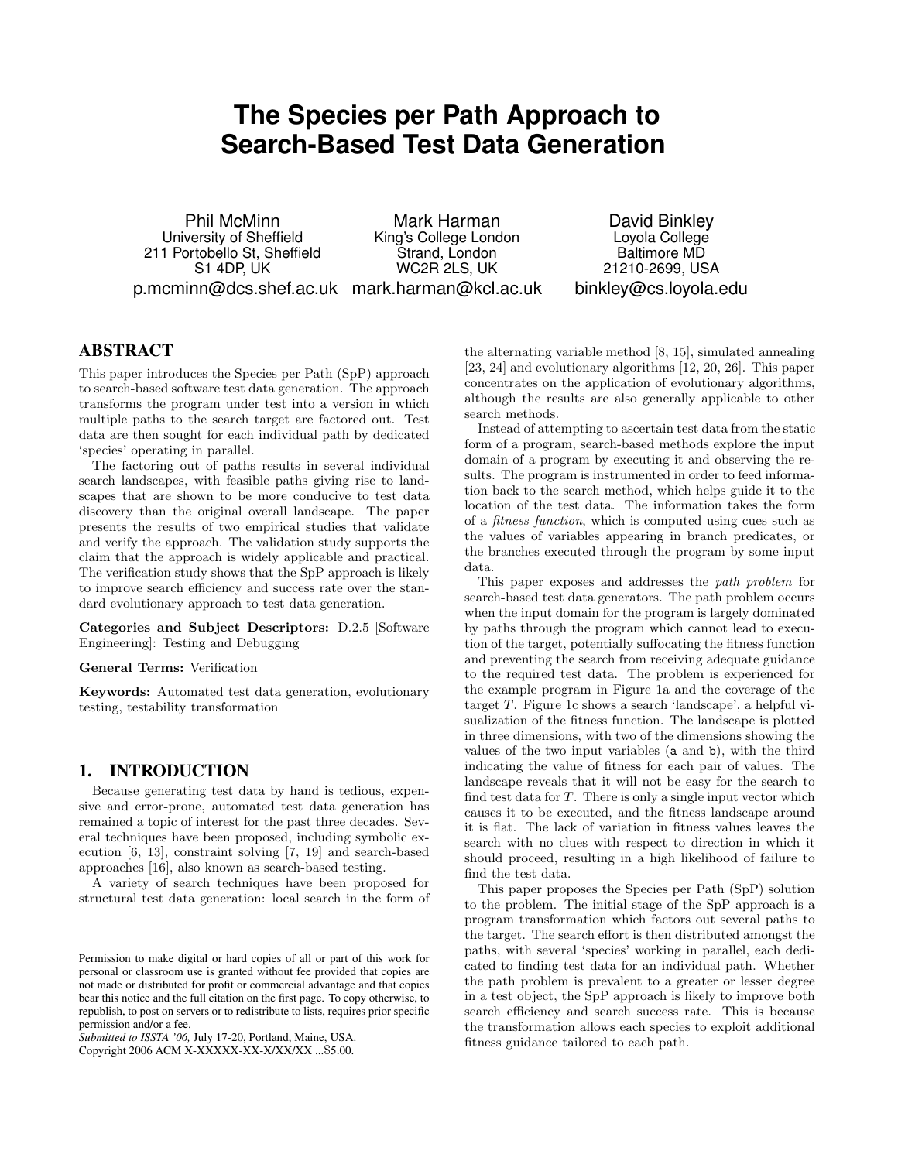# **The Species per Path Approach to Search-Based Test Data Generation**

Phil McMinn University of Sheffield 211 Portobello St, Sheffield S1 4DP, UK p.mcminn@dcs.shef.ac.uk mark.harman@kcl.ac.uk

Mark Harman King's College London Strand, London WC2R 2LS, UK

David Binkley Loyola College Baltimore MD 21210-2699, USA binkley@cs.loyola.edu

# **ABSTRACT**

This paper introduces the Species per Path (SpP) approach to search-based software test data generation. The approach transforms the program under test into a version in which multiple paths to the search target are factored out. Test data are then sought for each individual path by dedicated 'species' operating in parallel.

The factoring out of paths results in several individual search landscapes, with feasible paths giving rise to landscapes that are shown to be more conducive to test data discovery than the original overall landscape. The paper presents the results of two empirical studies that validate and verify the approach. The validation study supports the claim that the approach is widely applicable and practical. The verification study shows that the SpP approach is likely to improve search efficiency and success rate over the standard evolutionary approach to test data generation.

Categories and Subject Descriptors: D.2.5 [Software Engineering]: Testing and Debugging

General Terms: Verification

Keywords: Automated test data generation, evolutionary testing, testability transformation

## **1. INTRODUCTION**

Because generating test data by hand is tedious, expensive and error-prone, automated test data generation has remained a topic of interest for the past three decades. Several techniques have been proposed, including symbolic execution [6, 13], constraint solving [7, 19] and search-based approaches [16], also known as search-based testing.

A variety of search techniques have been proposed for structural test data generation: local search in the form of

Copyright 2006 ACM X-XXXXX-XX-X/XX/XX ...\$5.00.

the alternating variable method [8, 15], simulated annealing [23, 24] and evolutionary algorithms [12, 20, 26]. This paper concentrates on the application of evolutionary algorithms, although the results are also generally applicable to other search methods.

Instead of attempting to ascertain test data from the static form of a program, search-based methods explore the input domain of a program by executing it and observing the results. The program is instrumented in order to feed information back to the search method, which helps guide it to the location of the test data. The information takes the form of a fitness function, which is computed using cues such as the values of variables appearing in branch predicates, or the branches executed through the program by some input data.

This paper exposes and addresses the path problem for search-based test data generators. The path problem occurs when the input domain for the program is largely dominated by paths through the program which cannot lead to execution of the target, potentially suffocating the fitness function and preventing the search from receiving adequate guidance to the required test data. The problem is experienced for the example program in Figure 1a and the coverage of the target T. Figure 1c shows a search 'landscape', a helpful visualization of the fitness function. The landscape is plotted in three dimensions, with two of the dimensions showing the values of the two input variables (a and b), with the third indicating the value of fitness for each pair of values. The landscape reveals that it will not be easy for the search to find test data for  $T$ . There is only a single input vector which causes it to be executed, and the fitness landscape around it is flat. The lack of variation in fitness values leaves the search with no clues with respect to direction in which it should proceed, resulting in a high likelihood of failure to find the test data.

This paper proposes the Species per Path (SpP) solution to the problem. The initial stage of the SpP approach is a program transformation which factors out several paths to the target. The search effort is then distributed amongst the paths, with several 'species' working in parallel, each dedicated to finding test data for an individual path. Whether the path problem is prevalent to a greater or lesser degree in a test object, the SpP approach is likely to improve both search efficiency and search success rate. This is because the transformation allows each species to exploit additional fitness guidance tailored to each path.

Permission to make digital or hard copies of all or part of this work for personal or classroom use is granted without fee provided that copies are not made or distributed for profit or commercial advantage and that copies bear this notice and the full citation on the first page. To copy otherwise, to republish, to post on servers or to redistribute to lists, requires prior specific permission and/or a fee.

*Submitted to ISSTA '06,* July 17-20, Portland, Maine, USA.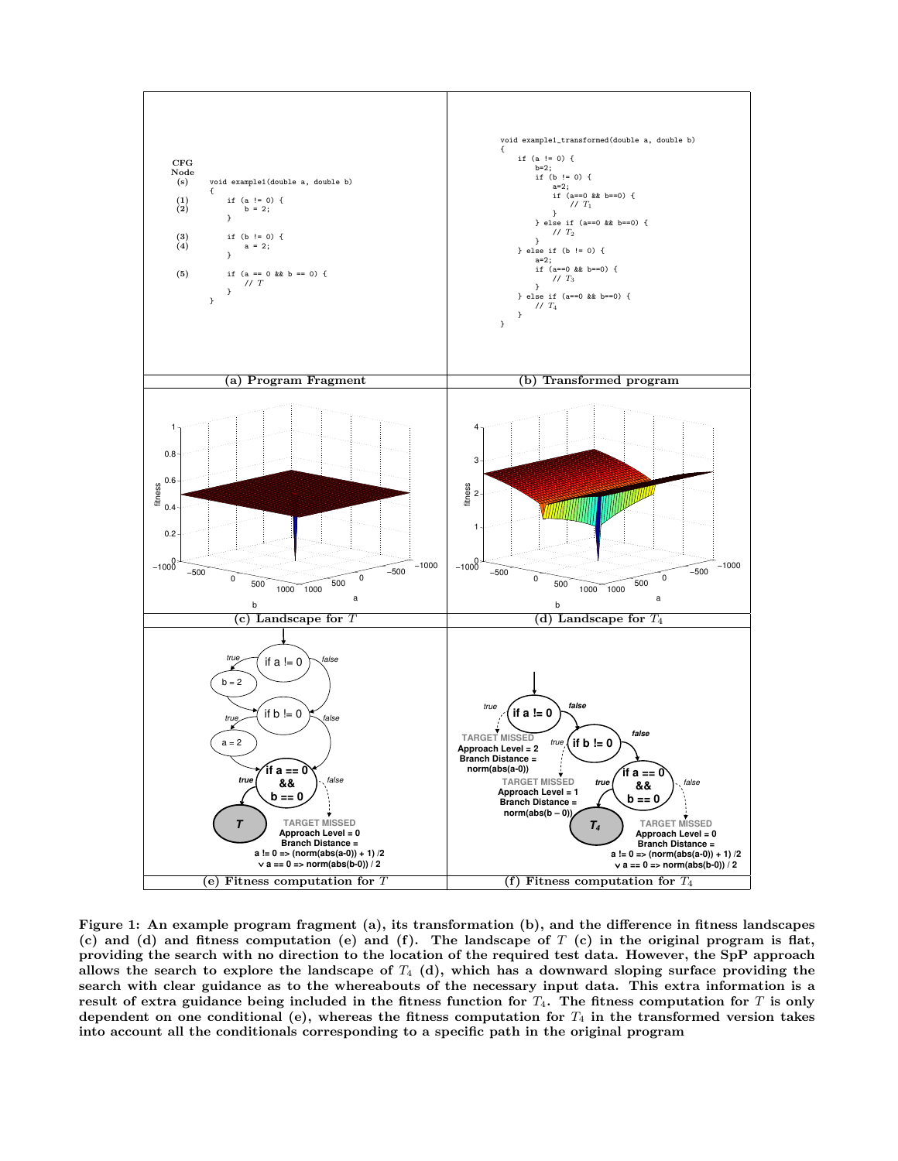

Figure 1: An example program fragment (a), its transformation (b), and the difference in fitness landscapes (c) and (d) and fitness computation (e) and (f). The landscape of  $T$  (c) in the original program is flat, providing the search with no direction to the location of the required test data. However, the SpP approach allows the search to explore the landscape of  $T_4$  (d), which has a downward sloping surface providing the search with clear guidance as to the whereabouts of the necessary input data. This extra information is a result of extra guidance being included in the fitness function for  $T_4$ . The fitness computation for T is only dependent on one conditional (e), whereas the fitness computation for  $T_4$  in the transformed version takes into account all the conditionals corresponding to a specific path in the original program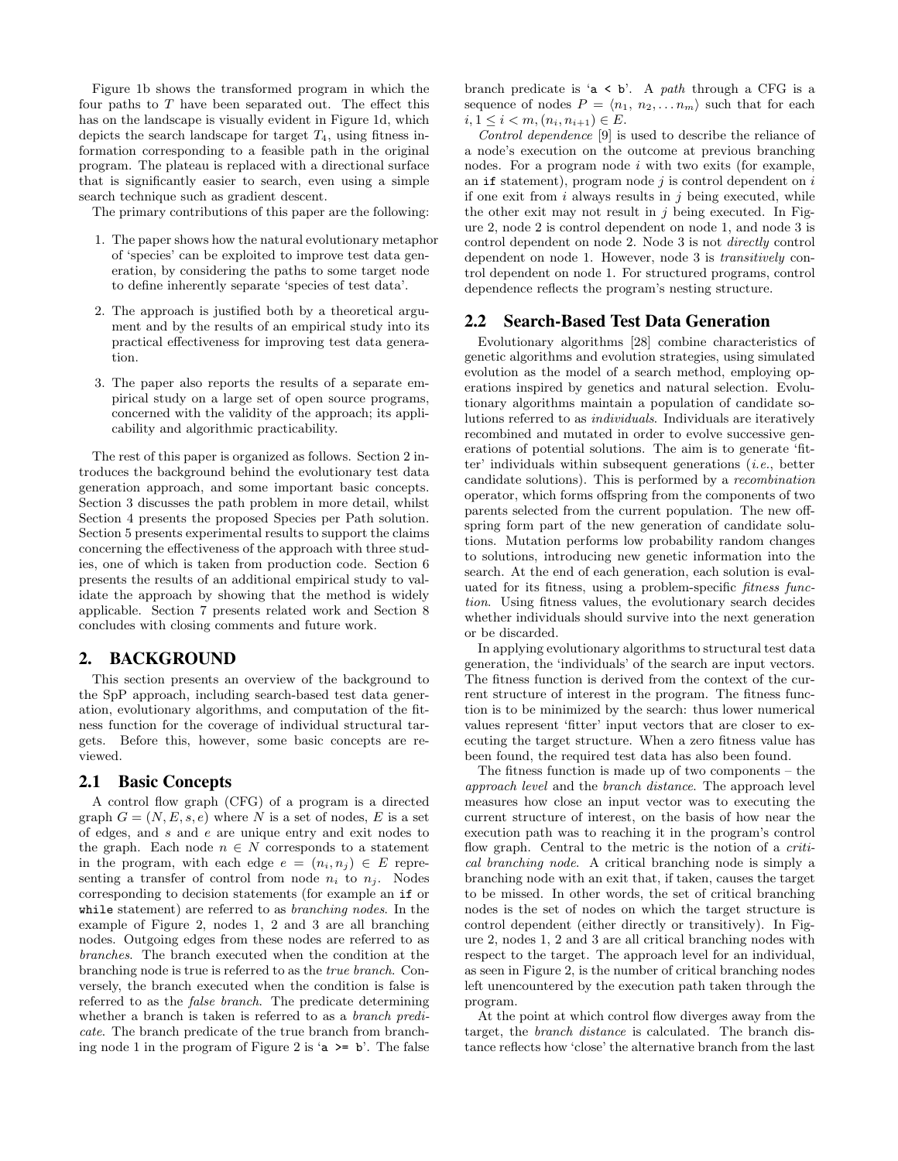Figure 1b shows the transformed program in which the four paths to  $T$  have been separated out. The effect this has on the landscape is visually evident in Figure 1d, which depicts the search landscape for target  $T_4$ , using fitness information corresponding to a feasible path in the original program. The plateau is replaced with a directional surface that is significantly easier to search, even using a simple search technique such as gradient descent.

The primary contributions of this paper are the following:

- 1. The paper shows how the natural evolutionary metaphor of 'species' can be exploited to improve test data generation, by considering the paths to some target node to define inherently separate 'species of test data'.
- 2. The approach is justified both by a theoretical argument and by the results of an empirical study into its practical effectiveness for improving test data generation.
- 3. The paper also reports the results of a separate empirical study on a large set of open source programs, concerned with the validity of the approach; its applicability and algorithmic practicability.

The rest of this paper is organized as follows. Section 2 introduces the background behind the evolutionary test data generation approach, and some important basic concepts. Section 3 discusses the path problem in more detail, whilst Section 4 presents the proposed Species per Path solution. Section 5 presents experimental results to support the claims concerning the effectiveness of the approach with three studies, one of which is taken from production code. Section 6 presents the results of an additional empirical study to validate the approach by showing that the method is widely applicable. Section 7 presents related work and Section 8 concludes with closing comments and future work.

## **2. BACKGROUND**

This section presents an overview of the background to the SpP approach, including search-based test data generation, evolutionary algorithms, and computation of the fitness function for the coverage of individual structural targets. Before this, however, some basic concepts are reviewed.

## **2.1 Basic Concepts**

A control flow graph (CFG) of a program is a directed graph  $G = (N, E, s, e)$  where N is a set of nodes, E is a set of edges, and s and e are unique entry and exit nodes to the graph. Each node  $n \in N$  corresponds to a statement in the program, with each edge  $e = (n_i, n_j) \in E$  representing a transfer of control from node  $n_i$  to  $n_j$ . Nodes corresponding to decision statements (for example an if or while statement) are referred to as branching nodes. In the example of Figure 2, nodes 1, 2 and 3 are all branching nodes. Outgoing edges from these nodes are referred to as branches. The branch executed when the condition at the branching node is true is referred to as the true branch. Conversely, the branch executed when the condition is false is referred to as the false branch. The predicate determining whether a branch is taken is referred to as a branch predicate. The branch predicate of the true branch from branching node 1 in the program of Figure 2 is  $a \ge b'$ . The false

branch predicate is ' $a \leq b'$ . A path through a CFG is a sequence of nodes  $P = \langle n_1, n_2, \ldots, n_m \rangle$  such that for each  $i, 1 \leq i < m, (n_i, n_{i+1}) \in E.$ 

Control dependence [9] is used to describe the reliance of a node's execution on the outcome at previous branching nodes. For a program node  $i$  with two exits (for example, an if statement), program node  $j$  is control dependent on  $i$ if one exit from  $i$  always results in  $j$  being executed, while the other exit may not result in  $j$  being executed. In Figure 2, node 2 is control dependent on node 1, and node 3 is control dependent on node 2. Node 3 is not directly control dependent on node 1. However, node 3 is transitively control dependent on node 1. For structured programs, control dependence reflects the program's nesting structure.

# **2.2 Search-Based Test Data Generation**

Evolutionary algorithms [28] combine characteristics of genetic algorithms and evolution strategies, using simulated evolution as the model of a search method, employing operations inspired by genetics and natural selection. Evolutionary algorithms maintain a population of candidate solutions referred to as individuals. Individuals are iteratively recombined and mutated in order to evolve successive generations of potential solutions. The aim is to generate 'fitter' individuals within subsequent generations  $(i.e., better)$ candidate solutions). This is performed by a recombination operator, which forms offspring from the components of two parents selected from the current population. The new offspring form part of the new generation of candidate solutions. Mutation performs low probability random changes to solutions, introducing new genetic information into the search. At the end of each generation, each solution is evaluated for its fitness, using a problem-specific fitness function. Using fitness values, the evolutionary search decides whether individuals should survive into the next generation or be discarded.

In applying evolutionary algorithms to structural test data generation, the 'individuals' of the search are input vectors. The fitness function is derived from the context of the current structure of interest in the program. The fitness function is to be minimized by the search: thus lower numerical values represent 'fitter' input vectors that are closer to executing the target structure. When a zero fitness value has been found, the required test data has also been found.

The fitness function is made up of two components – the approach level and the branch distance. The approach level measures how close an input vector was to executing the current structure of interest, on the basis of how near the execution path was to reaching it in the program's control flow graph. Central to the metric is the notion of a *criti*cal branching node. A critical branching node is simply a branching node with an exit that, if taken, causes the target to be missed. In other words, the set of critical branching nodes is the set of nodes on which the target structure is control dependent (either directly or transitively). In Figure 2, nodes 1, 2 and 3 are all critical branching nodes with respect to the target. The approach level for an individual, as seen in Figure 2, is the number of critical branching nodes left unencountered by the execution path taken through the program.

At the point at which control flow diverges away from the target, the branch distance is calculated. The branch distance reflects how 'close' the alternative branch from the last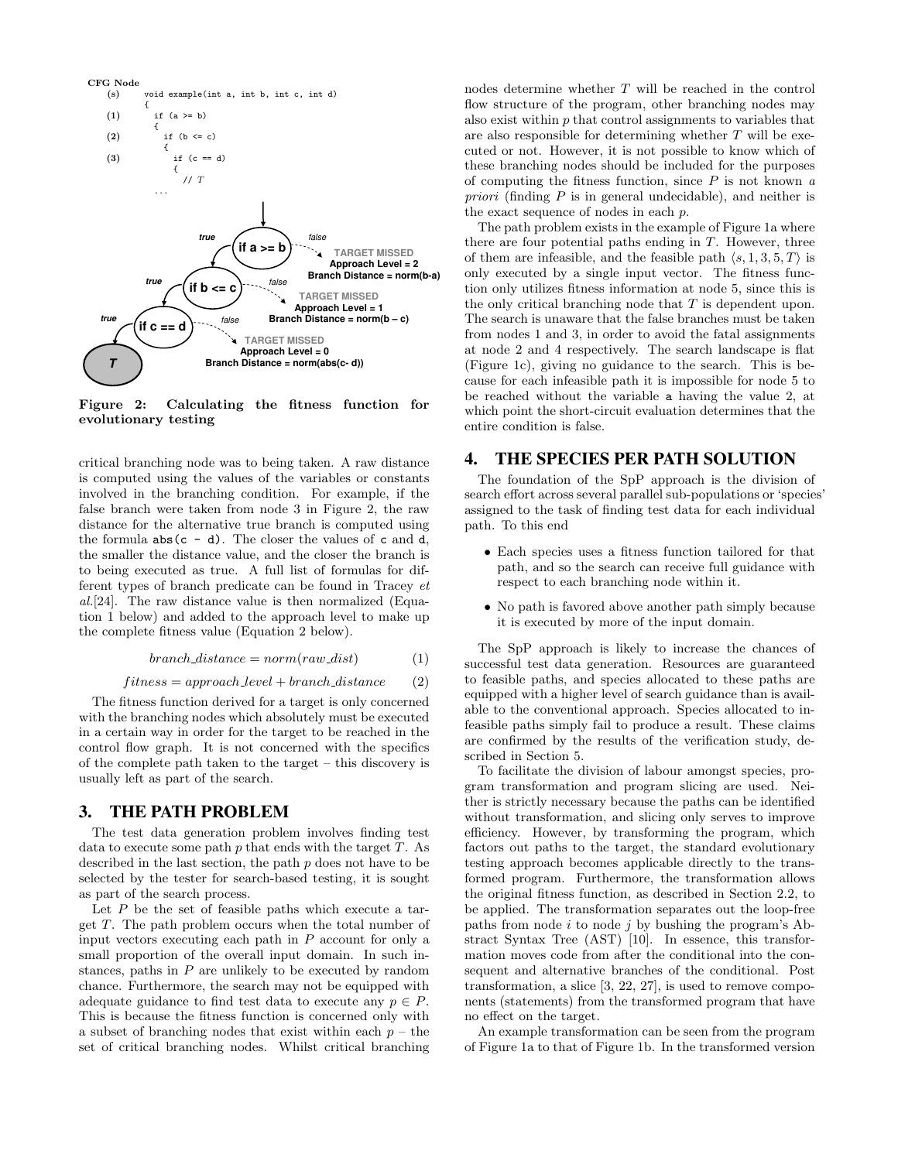

Figure 2: Calculating the fitness function for evolutionary testing

critical branching node was to being taken. A raw distance is computed using the values of the variables or constants involved in the branching condition. For example, if the false branch were taken from node 3 in Figure 2, the raw distance for the alternative true branch is computed using the formula  $abs(c - d)$ . The closer the values of c and d, the smaller the distance value, and the closer the branch is to being executed as true. A full list of formulas for different types of branch predicate can be found in Tracey et al.[24]. The raw distance value is then normalized (Equation 1 below) and added to the approach level to make up the complete fitness value (Equation 2 below).

$$
branch\_distance = norm(raw\_dist)
$$
 (1)

$$
fitness = approach\_level + branch\_distance
$$
 (2)

The fitness function derived for a target is only concerned with the branching nodes which absolutely must be executed in a certain way in order for the target to be reached in the control flow graph. It is not concerned with the specifics of the complete path taken to the target – this discovery is usually left as part of the search.

## **3. THE PATH PROBLEM**

The test data generation problem involves finding test data to execute some path  $p$  that ends with the target  $T$ . As described in the last section, the path p does not have to be selected by the tester for search-based testing, it is sought as part of the search process.

Let  $P$  be the set of feasible paths which execute a target T. The path problem occurs when the total number of input vectors executing each path in  $P$  account for only a small proportion of the overall input domain. In such instances, paths in  $P$  are unlikely to be executed by random chance. Furthermore, the search may not be equipped with adequate guidance to find test data to execute any  $p \in P$ . This is because the fitness function is concerned only with a subset of branching nodes that exist within each  $p -$  the set of critical branching nodes. Whilst critical branching nodes determine whether T will be reached in the control flow structure of the program, other branching nodes may also exist within  $p$  that control assignments to variables that are also responsible for determining whether  $T$  will be executed or not. However, it is not possible to know which of these branching nodes should be included for the purposes of computing the fitness function, since  $P$  is not known  $\alpha$ *priori* (finding  $P$  is in general undecidable), and neither is the exact sequence of nodes in each p.

The path problem exists in the example of Figure 1a where there are four potential paths ending in  $T$ . However, three of them are infeasible, and the feasible path  $\langle s, 1, 3, 5, T \rangle$  is only executed by a single input vector. The fitness function only utilizes fitness information at node 5, since this is the only critical branching node that T is dependent upon. The search is unaware that the false branches must be taken from nodes 1 and 3, in order to avoid the fatal assignments at node 2 and 4 respectively. The search landscape is flat (Figure 1c), giving no guidance to the search. This is because for each infeasible path it is impossible for node 5 to be reached without the variable a having the value 2, at which point the short-circuit evaluation determines that the entire condition is false.

# **4. THE SPECIES PER PATH SOLUTION**

The foundation of the SpP approach is the division of search effort across several parallel sub-populations or 'species' assigned to the task of finding test data for each individual path. To this end

- Each species uses a fitness function tailored for that path, and so the search can receive full guidance with respect to each branching node within it.
- No path is favored above another path simply because it is executed by more of the input domain.

The SpP approach is likely to increase the chances of successful test data generation. Resources are guaranteed to feasible paths, and species allocated to these paths are equipped with a higher level of search guidance than is available to the conventional approach. Species allocated to infeasible paths simply fail to produce a result. These claims are confirmed by the results of the verification study, described in Section 5.

To facilitate the division of labour amongst species, program transformation and program slicing are used. Neither is strictly necessary because the paths can be identified without transformation, and slicing only serves to improve efficiency. However, by transforming the program, which factors out paths to the target, the standard evolutionary testing approach becomes applicable directly to the transformed program. Furthermore, the transformation allows the original fitness function, as described in Section 2.2, to be applied. The transformation separates out the loop-free paths from node  $i$  to node  $j$  by bushing the program's Abstract Syntax Tree (AST) [10]. In essence, this transformation moves code from after the conditional into the consequent and alternative branches of the conditional. Post transformation, a slice [3, 22, 27], is used to remove components (statements) from the transformed program that have no effect on the target.

An example transformation can be seen from the program of Figure 1a to that of Figure 1b. In the transformed version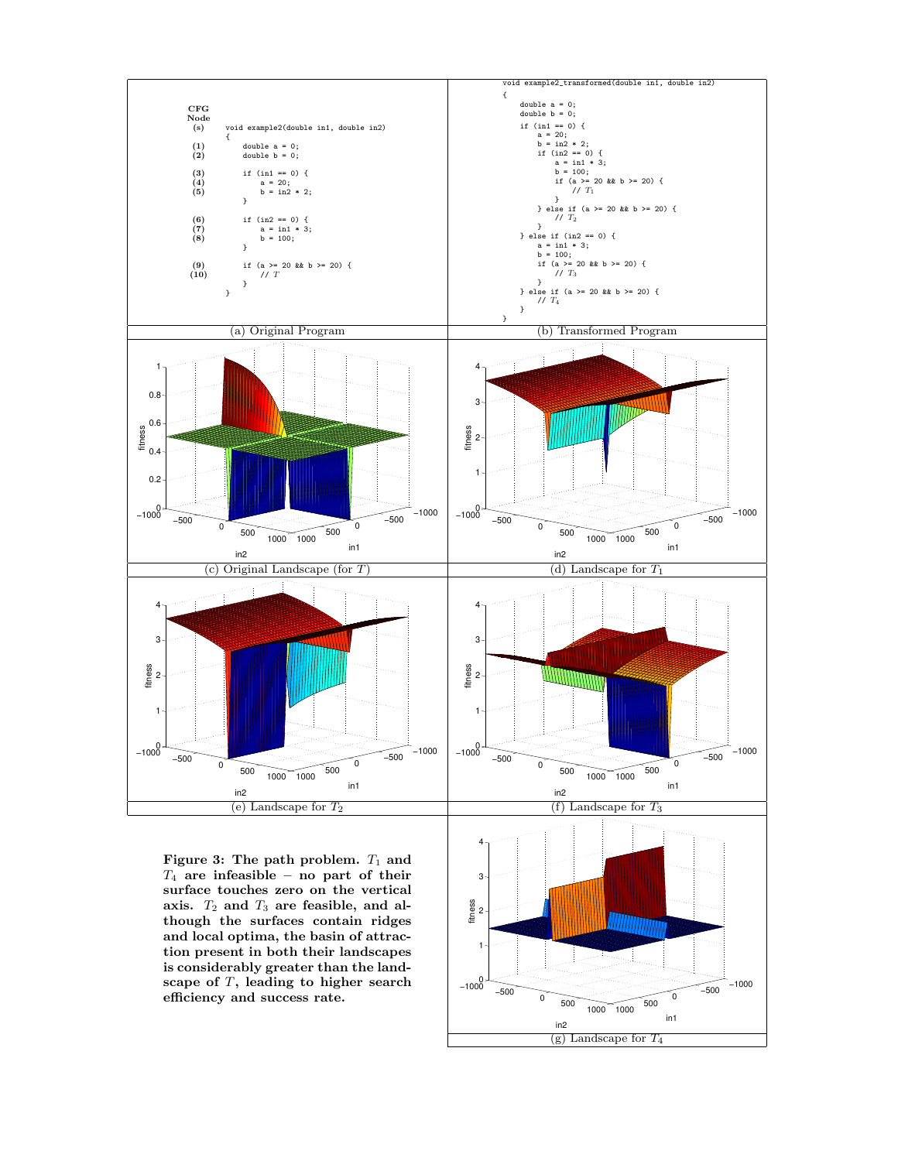

surface touches zero on the vertical axis.  $T_2$  and  $T_3$  are feasible, and although the surfaces contain ridges and local optima, the basin of attraction present in both their landscapes is considerably greater than the landscape of  $T$ , leading to higher search efficiency and success rate.

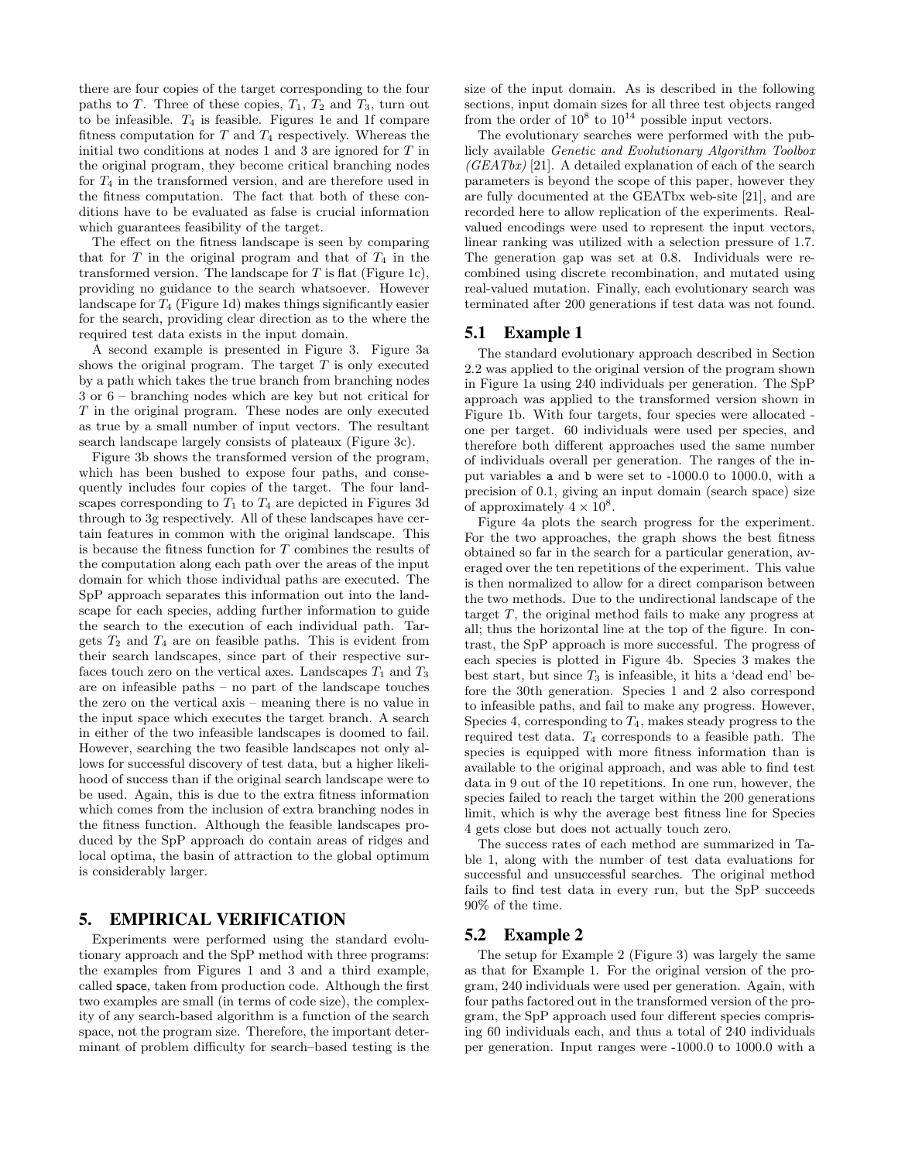there are four copies of the target corresponding to the four paths to T. Three of these copies,  $T_1$ ,  $T_2$  and  $T_3$ , turn out to be infeasible.  $T_4$  is feasible. Figures 1e and 1f compare fitness computation for  $T$  and  $T_4$  respectively. Whereas the initial two conditions at nodes 1 and 3 are ignored for T in the original program, they become critical branching nodes for  $T_4$  in the transformed version, and are therefore used in the fitness computation. The fact that both of these conditions have to be evaluated as false is crucial information which guarantees feasibility of the target.

The effect on the fitness landscape is seen by comparing that for  $T$  in the original program and that of  $T_4$  in the transformed version. The landscape for  $T$  is flat (Figure 1c), providing no guidance to the search whatsoever. However landscape for  $T_4$  (Figure 1d) makes things significantly easier for the search, providing clear direction as to the where the required test data exists in the input domain.

A second example is presented in Figure 3. Figure 3a shows the original program. The target  $T$  is only executed by a path which takes the true branch from branching nodes 3 or 6 – branching nodes which are key but not critical for  $T$  in the original program. These nodes are only executed as true by a small number of input vectors. The resultant search landscape largely consists of plateaux (Figure 3c).

Figure 3b shows the transformed version of the program, which has been bushed to expose four paths, and consequently includes four copies of the target. The four landscapes corresponding to  $T_1$  to  $T_4$  are depicted in Figures 3d through to 3g respectively. All of these landscapes have certain features in common with the original landscape. This is because the fitness function for  $T$  combines the results of the computation along each path over the areas of the input domain for which those individual paths are executed. The SpP approach separates this information out into the landscape for each species, adding further information to guide the search to the execution of each individual path. Targets  $T_2$  and  $T_4$  are on feasible paths. This is evident from their search landscapes, since part of their respective surfaces touch zero on the vertical axes. Landscapes  $T_1$  and  $T_3$ are on infeasible paths – no part of the landscape touches the zero on the vertical axis – meaning there is no value in the input space which executes the target branch. A search in either of the two infeasible landscapes is doomed to fail. However, searching the two feasible landscapes not only allows for successful discovery of test data, but a higher likelihood of success than if the original search landscape were to be used. Again, this is due to the extra fitness information which comes from the inclusion of extra branching nodes in the fitness function. Although the feasible landscapes produced by the SpP approach do contain areas of ridges and local optima, the basin of attraction to the global optimum is considerably larger.

# **5. EMPIRICAL VERIFICATION**

Experiments were performed using the standard evolutionary approach and the SpP method with three programs: the examples from Figures 1 and 3 and a third example, called space, taken from production code. Although the first two examples are small (in terms of code size), the complexity of any search-based algorithm is a function of the search space, not the program size. Therefore, the important determinant of problem difficulty for search–based testing is the size of the input domain. As is described in the following sections, input domain sizes for all three test objects ranged from the order of  $10^8$  to  $10^{14}$  possible input vectors.

The evolutionary searches were performed with the publicly available Genetic and Evolutionary Algorithm Toolbox  $(GEATbx)$  [21]. A detailed explanation of each of the search parameters is beyond the scope of this paper, however they are fully documented at the GEATbx web-site [21], and are recorded here to allow replication of the experiments. Realvalued encodings were used to represent the input vectors, linear ranking was utilized with a selection pressure of 1.7. The generation gap was set at 0.8. Individuals were recombined using discrete recombination, and mutated using real-valued mutation. Finally, each evolutionary search was terminated after 200 generations if test data was not found.

#### **5.1 Example 1**

The standard evolutionary approach described in Section 2.2 was applied to the original version of the program shown in Figure 1a using 240 individuals per generation. The SpP approach was applied to the transformed version shown in Figure 1b. With four targets, four species were allocated one per target. 60 individuals were used per species, and therefore both different approaches used the same number of individuals overall per generation. The ranges of the input variables a and b were set to -1000.0 to 1000.0, with a precision of 0.1, giving an input domain (search space) size of approximately  $4 \times 10^8$ .

Figure 4a plots the search progress for the experiment. For the two approaches, the graph shows the best fitness obtained so far in the search for a particular generation, averaged over the ten repetitions of the experiment. This value is then normalized to allow for a direct comparison between the two methods. Due to the undirectional landscape of the target T, the original method fails to make any progress at all; thus the horizontal line at the top of the figure. In contrast, the SpP approach is more successful. The progress of each species is plotted in Figure 4b. Species 3 makes the best start, but since  $T_3$  is infeasible, it hits a 'dead end' before the 30th generation. Species 1 and 2 also correspond to infeasible paths, and fail to make any progress. However, Species 4, corresponding to  $T_4$ , makes steady progress to the required test data.  $T_4$  corresponds to a feasible path. The species is equipped with more fitness information than is available to the original approach, and was able to find test data in 9 out of the 10 repetitions. In one run, however, the species failed to reach the target within the 200 generations limit, which is why the average best fitness line for Species 4 gets close but does not actually touch zero.

The success rates of each method are summarized in Table 1, along with the number of test data evaluations for successful and unsuccessful searches. The original method fails to find test data in every run, but the SpP succeeds 90% of the time.

# **5.2 Example 2**

The setup for Example 2 (Figure 3) was largely the same as that for Example 1. For the original version of the program, 240 individuals were used per generation. Again, with four paths factored out in the transformed version of the program, the SpP approach used four different species comprising 60 individuals each, and thus a total of 240 individuals per generation. Input ranges were -1000.0 to 1000.0 with a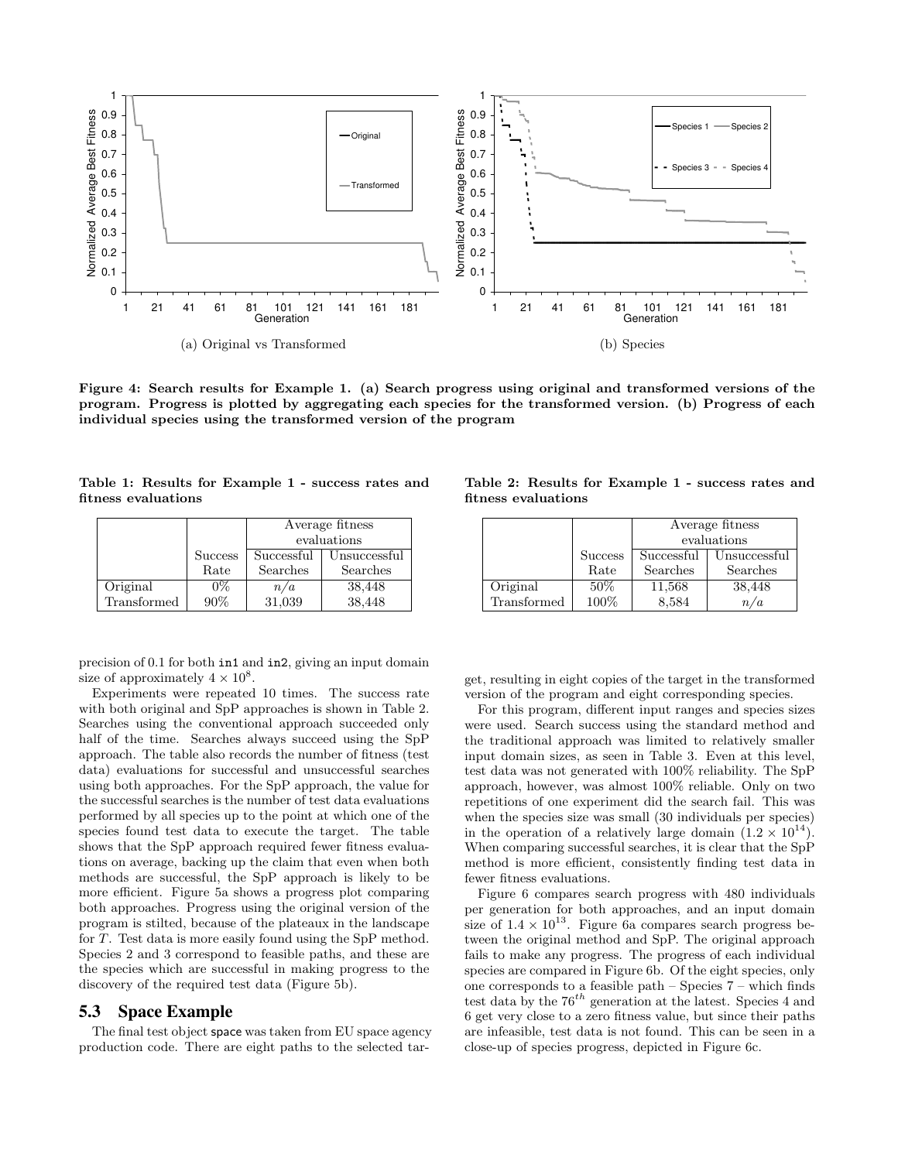

Figure 4: Search results for Example 1. (a) Search progress using original and transformed versions of the program. Progress is plotted by aggregating each species for the transformed version. (b) Progress of each individual species using the transformed version of the program

| Table 1: Results for Example 1 - success rates and |  |  |  |
|----------------------------------------------------|--|--|--|
| fitness evaluations                                |  |  |  |

|             |                | Average fitness |              |  |
|-------------|----------------|-----------------|--------------|--|
|             |                | evaluations     |              |  |
|             | <b>Success</b> | Successful      | Unsuccessful |  |
|             | Rate           | Searches        | Searches     |  |
| Original    | $0\%$          | n/a             | 38,448       |  |
| Transformed | 90%            | 31,039          | 38,448       |  |

precision of 0.1 for both in1 and in2, giving an input domain size of approximately  $4 \times 10^8$ .

Experiments were repeated 10 times. The success rate with both original and SpP approaches is shown in Table 2. Searches using the conventional approach succeeded only half of the time. Searches always succeed using the SpP approach. The table also records the number of fitness (test data) evaluations for successful and unsuccessful searches using both approaches. For the SpP approach, the value for the successful searches is the number of test data evaluations performed by all species up to the point at which one of the species found test data to execute the target. The table shows that the SpP approach required fewer fitness evaluations on average, backing up the claim that even when both methods are successful, the SpP approach is likely to be more efficient. Figure 5a shows a progress plot comparing both approaches. Progress using the original version of the program is stilted, because of the plateaux in the landscape for T. Test data is more easily found using the SpP method. Species 2 and 3 correspond to feasible paths, and these are the species which are successful in making progress to the discovery of the required test data (Figure 5b).

#### **5.3 Space Example**

The final test object space was taken from EU space agency production code. There are eight paths to the selected tar-

|                     | Table 2: Results for Example 1 - success rates and |  |  |
|---------------------|----------------------------------------------------|--|--|
| fitness evaluations |                                                    |  |  |

|                |      | Average fitness |              |  |
|----------------|------|-----------------|--------------|--|
|                |      | evaluations     |              |  |
| <b>Success</b> |      | Successful      | Unsuccessful |  |
|                | Rate | Searches        | Searches     |  |
| Original       | 50%  | 11,568          | 38,448       |  |
| Transformed    | 100% | 8,584           | / a          |  |

get, resulting in eight copies of the target in the transformed version of the program and eight corresponding species.

For this program, different input ranges and species sizes were used. Search success using the standard method and the traditional approach was limited to relatively smaller input domain sizes, as seen in Table 3. Even at this level, test data was not generated with 100% reliability. The SpP approach, however, was almost 100% reliable. Only on two repetitions of one experiment did the search fail. This was when the species size was small (30 individuals per species) in the operation of a relatively large domain  $(1.2 \times 10^{14})$ . When comparing successful searches, it is clear that the SpP method is more efficient, consistently finding test data in fewer fitness evaluations.

Figure 6 compares search progress with 480 individuals per generation for both approaches, and an input domain size of  $1.4 \times 10^{13}$ . Figure 6a compares search progress between the original method and SpP. The original approach fails to make any progress. The progress of each individual species are compared in Figure 6b. Of the eight species, only one corresponds to a feasible path – Species 7 – which finds test data by the  $76^{th}$  generation at the latest. Species 4 and 6 get very close to a zero fitness value, but since their paths are infeasible, test data is not found. This can be seen in a close-up of species progress, depicted in Figure 6c.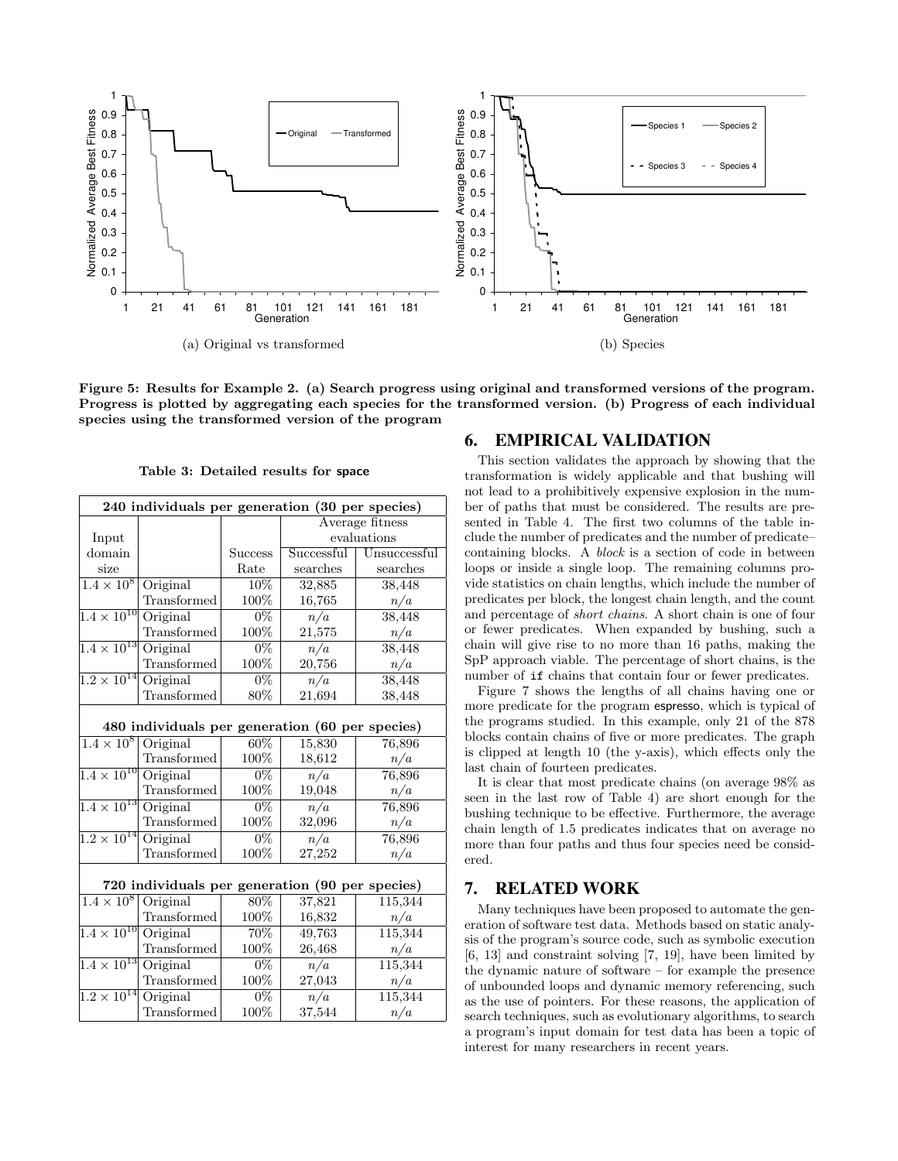

Figure 5: Results for Example 2. (a) Search progress using original and transformed versions of the program. Progress is plotted by aggregating each species for the transformed version. (b) Progress of each individual species using the transformed version of the program

| 240 individuals per generation (30 per species) |                                                 |                 |                  |              |  |  |  |
|-------------------------------------------------|-------------------------------------------------|-----------------|------------------|--------------|--|--|--|
|                                                 |                                                 | Average fitness |                  |              |  |  |  |
| Input                                           |                                                 |                 | evaluations      |              |  |  |  |
| domain                                          |                                                 | <b>Success</b>  | Successful       | Unsuccessful |  |  |  |
| size                                            |                                                 | Rate            | searches         | searches     |  |  |  |
| $1.4 \times 10^8$                               | Original                                        | 10%             | 32,885           | 38,448       |  |  |  |
|                                                 | Transformed                                     | 100%            | 16,765           | n/a          |  |  |  |
| $1.4 \times 10^{10}$                            | Original                                        | $0\%$           | n/a              | 38,448       |  |  |  |
|                                                 | Transformed                                     | $100\%$         | 21,575           | n/a          |  |  |  |
| $1.4 \times 10^{13}$                            | Original                                        | $0\%$           | n/a              | 38,448       |  |  |  |
|                                                 | Transformed                                     | $100\%$         | 20,756           | n/a          |  |  |  |
| $1.2 \times 10^{14}$                            | Original                                        | $0\%$           | n/a              | 38,448       |  |  |  |
|                                                 | Transformed                                     | 80%             | 21,694           | 38,448       |  |  |  |
|                                                 |                                                 |                 |                  |              |  |  |  |
|                                                 | 480 individuals per generation (60 per species) |                 |                  |              |  |  |  |
| $1.4 \times 10^{8}$                             | Original                                        | $60\%$          | 15,830           | 76,896       |  |  |  |
|                                                 | Transformed                                     | 100%            | 18,612           | n/a          |  |  |  |
| $1.4 \times 10^{10}$                            | Original                                        | $0\%$           | $\overline{n/a}$ | 76,896       |  |  |  |
|                                                 | Transformed                                     | 100%            | 19,048           | n/a          |  |  |  |
| $1.4 \times 10^{13}$                            | Original                                        | $0\%$           | $\overline{n}/a$ | 76,896       |  |  |  |
|                                                 | Transformed                                     | $100\%$         | 32,096           | n/a          |  |  |  |
| $1.2 \times 10^{14}$                            | Original                                        | $0\%$           | n/a              | 76,896       |  |  |  |
|                                                 | Transformed                                     | 100%            | 27,252           | n/a          |  |  |  |
|                                                 |                                                 |                 |                  |              |  |  |  |
| 720 individuals per generation (90 per species) |                                                 |                 |                  |              |  |  |  |
| $1.4 \times 10^{8}$                             | Original                                        | 80\%            | 37,821           | 115,344      |  |  |  |
|                                                 | Transformed                                     | 100%            | 16,832           | n/a          |  |  |  |
| $1.4 \times 10^{10}$                            | Original                                        | 70%             | 49,763           | 115,344      |  |  |  |
|                                                 | Transformed                                     | $100\%$         | 26,468           | n/a          |  |  |  |
| $1.4 \times 10^{13}$                            | Original                                        | $0\%$           | n/a              | 115,344      |  |  |  |
|                                                 | Transformed                                     | 100%            | 27,043           | n/a          |  |  |  |
| $1.2 \times 10^{14}$                            | Original                                        | $0\%$           | n/a              | 115,344      |  |  |  |
|                                                 | Transformed                                     | 100%            | 37,544           | n/a          |  |  |  |
|                                                 |                                                 |                 |                  |              |  |  |  |

Table 3: Detailed results for space

#### **6. EMPIRICAL VALIDATION**

This section validates the approach by showing that the transformation is widely applicable and that bushing will not lead to a prohibitively expensive explosion in the number of paths that must be considered. The results are presented in Table 4. The first two columns of the table include the number of predicates and the number of predicate– containing blocks. A block is a section of code in between loops or inside a single loop. The remaining columns provide statistics on chain lengths, which include the number of predicates per block, the longest chain length, and the count and percentage of short chains. A short chain is one of four or fewer predicates. When expanded by bushing, such a chain will give rise to no more than 16 paths, making the SpP approach viable. The percentage of short chains, is the number of if chains that contain four or fewer predicates.

Figure 7 shows the lengths of all chains having one or more predicate for the program espresso, which is typical of the programs studied. In this example, only 21 of the 878 blocks contain chains of five or more predicates. The graph is clipped at length 10 (the y-axis), which effects only the last chain of fourteen predicates.

It is clear that most predicate chains (on average 98% as seen in the last row of Table 4) are short enough for the bushing technique to be effective. Furthermore, the average chain length of 1.5 predicates indicates that on average no more than four paths and thus four species need be considered.

## **7. RELATED WORK**

Many techniques have been proposed to automate the generation of software test data. Methods based on static analysis of the program's source code, such as symbolic execution [6, 13] and constraint solving [7, 19], have been limited by the dynamic nature of software – for example the presence of unbounded loops and dynamic memory referencing, such as the use of pointers. For these reasons, the application of search techniques, such as evolutionary algorithms, to search a program's input domain for test data has been a topic of interest for many researchers in recent years.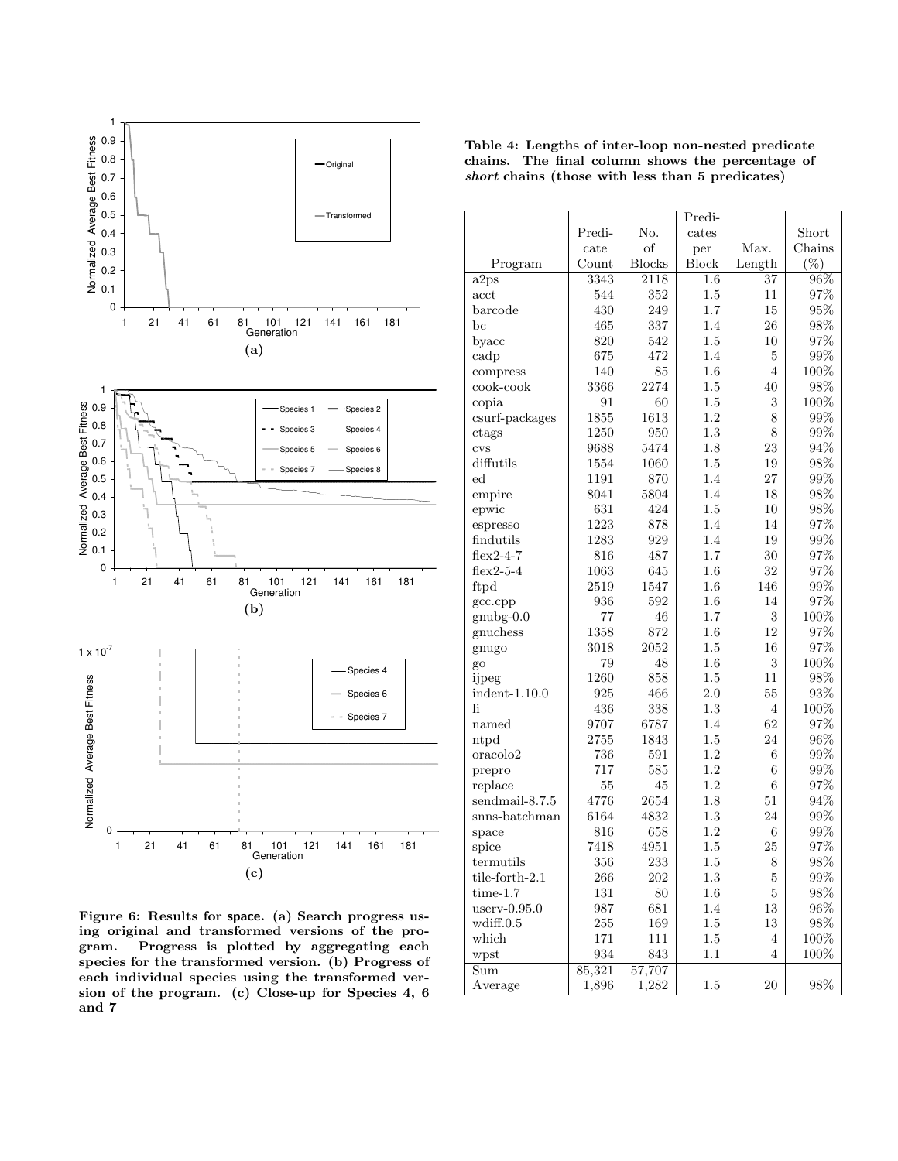

Figure 6: Results for space. (a) Search progress using original and transformed versions of the program. Progress is plotted by aggregating each species for the transformed version. (b) Progress of each individual species using the transformed version of the program. (c) Close-up for Species 4, 6 and 7

Table 4: Lengths of inter-loop non-nested predicate chains. The final column shows the percentage of short chains (those with less than 5 predicates)

|                   |                |               | Predi-       |                 |         |
|-------------------|----------------|---------------|--------------|-----------------|---------|
|                   | Predi-         | No.           | cates        |                 | Short   |
|                   | cate           | of            | per          | Max.            | Chains  |
| Program           | $_{\rm Count}$ | <b>Blocks</b> | <b>Block</b> | Length          | $(\%)$  |
| a <sub>2</sub> ps | 3343           | 2118          | $1.6\,$      | $\overline{37}$ | 96%     |
| acct              | 544            | 352           | $1.5\,$      | 11              | 97%     |
| barcode           | 430            | 249           | 1.7          | 15              | $95\%$  |
| bc                | 465            | 337           | 1.4          | 26              | 98%     |
| byacc             | 820            | 542           | $1.5\,$      | 10              | 97%     |
| cadp              | 675            | 472           | 1.4          | 5               | 99%     |
| compress          | 140            | 85            | $1.6\,$      | 4               | 100%    |
| cook-cook         | 3366           | 2274          | $1.5\,$      | 40              | 98%     |
| copia             | 91             | 60            | 1.5          | 3               | 100%    |
| csurf-packages    | 1855           | 1613          | $1.2\,$      | 8               | 99%     |
| ctags             | 1250           | 950           | 1.3          | 8               | 99%     |
| <b>CVS</b>        | 9688           | 5474          | $1.8\,$      | 23              | 94%     |
| diffutils         | 1554           | 1060          | $1.5\,$      | 19              | 98%     |
| $_{\rm ed}$       | 1191           | 870           | 1.4          | 27              | $99\%$  |
| empire            | 8041           | 5804          | 1.4          | 18              | 98%     |
| epwic             | 631            | 424           | 1.5          | 10              | 98%     |
| espresso          | 1223           | 878           | 1.4          | 14              | 97%     |
| findutils         | 1283           | 929           | 1.4          | 19              | 99%     |
| $flex2-4-7$       | 816            | 487           | 1.7          | 30              | 97%     |
| flex2-5-4         | 1063           | 645           | $1.6\,$      | 32              | $97\%$  |
| ftpd              | 2519           | 1547          | $1.6\,$      | 146             | $99\%$  |
| gcc.cpp           | 936            | 592           | $1.6\,$      | 14              | 97%     |
| $gnuby-0.0$       | 77             | 46            | 1.7          | 3               | 100%    |
| gnuchess          | 1358           | 872           | $1.6\,$      | 12              | $97\%$  |
| gnugo             | 3018           | 2052          | $1.5\,$      | 16              | 97%     |
| go                | 79             | 48            | $1.6\,$      | 3               | 100%    |
| ijpeg             | 1260           | 858           | $1.5\,$      | 11              | 98%     |
| $indent -1.10.0$  | 925            | 466           | 2.0          | 55              | $93\%$  |
| 1i                | 436            | 338           | 1.3          | 4               | 100%    |
| named             | 9707           | 6787          | 1.4          | 62              | 97%     |
| ntpd              | 2755           | 1843          | 1.5          | 24              | 96%     |
| or a colo 2       | 736            | 591           | 1.2          | 6               | 99%     |
| prepro            | 717            | 585           | $1.2\,$      | 6               | 99%     |
| replace           | 55             | 45            | 1.2          | 6               | 97%     |
| sendmail-8.7.5    | 4776           | 2654          | 1.8          | 51              | 94%     |
| snns-batchman     | 6164           | 4832          | 1.3          | 24              | $99\%$  |
| space             | 816            | 658           | 1.2          | 6               | 99%     |
| spice             | 7418           | 4951          | 1.5          | 25              | 97%     |
| termutils         | 356            | 233           | 1.5          | 8               | $98\%$  |
| tile-forth-2.1    | 266            | 202           | 1.3          | 5               | $99\%$  |
| $time-1.7$        | 131            | 80            | 1.6          | $\bf 5$         | 98%     |
| $userv-0.95.0$    | 987            | 681           | 1.4          | 13              | 96%     |
| wdiff.0.5         | 255            | 169           | 1.5          | 13              | 98%     |
| which             | 171            | 111           | 1.5          | 4               | 100%    |
| wpst              | 934            | 843           | $1.1\,$      | $\overline{4}$  | $100\%$ |
| Sum               | 85,321         | 57,707        |              |                 |         |
| Average           | 1,896          | 1,282         | 1.5          | $20\,$          | 98%     |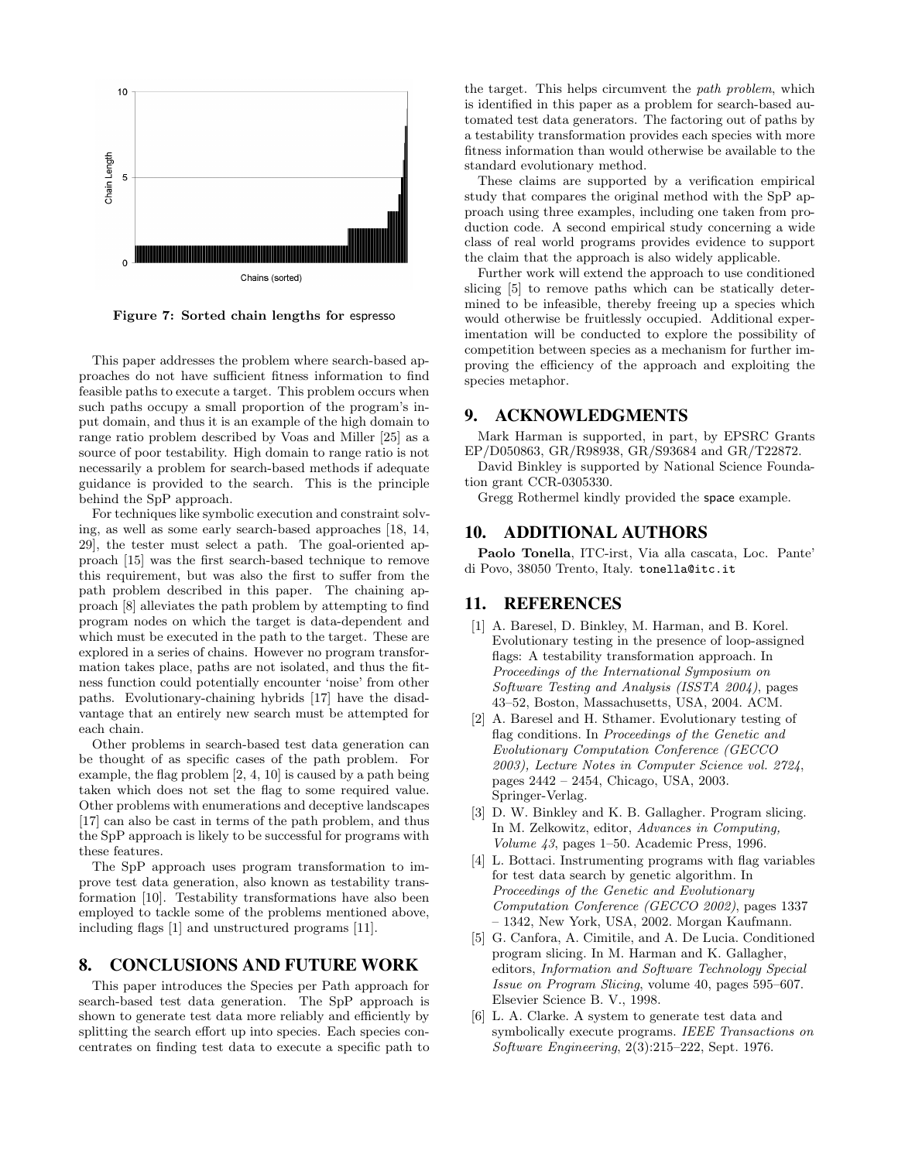

Figure 7: Sorted chain lengths for espresso

This paper addresses the problem where search-based approaches do not have sufficient fitness information to find feasible paths to execute a target. This problem occurs when such paths occupy a small proportion of the program's input domain, and thus it is an example of the high domain to range ratio problem described by Voas and Miller [25] as a source of poor testability. High domain to range ratio is not necessarily a problem for search-based methods if adequate guidance is provided to the search. This is the principle behind the SpP approach.

For techniques like symbolic execution and constraint solving, as well as some early search-based approaches [18, 14, 29], the tester must select a path. The goal-oriented approach [15] was the first search-based technique to remove this requirement, but was also the first to suffer from the path problem described in this paper. The chaining approach [8] alleviates the path problem by attempting to find program nodes on which the target is data-dependent and which must be executed in the path to the target. These are explored in a series of chains. However no program transformation takes place, paths are not isolated, and thus the fitness function could potentially encounter 'noise' from other paths. Evolutionary-chaining hybrids [17] have the disadvantage that an entirely new search must be attempted for each chain.

Other problems in search-based test data generation can be thought of as specific cases of the path problem. For example, the flag problem [2, 4, 10] is caused by a path being taken which does not set the flag to some required value. Other problems with enumerations and deceptive landscapes [17] can also be cast in terms of the path problem, and thus the SpP approach is likely to be successful for programs with these features.

The SpP approach uses program transformation to improve test data generation, also known as testability transformation [10]. Testability transformations have also been employed to tackle some of the problems mentioned above, including flags [1] and unstructured programs [11].

## **8. CONCLUSIONS AND FUTURE WORK**

This paper introduces the Species per Path approach for search-based test data generation. The SpP approach is shown to generate test data more reliably and efficiently by splitting the search effort up into species. Each species concentrates on finding test data to execute a specific path to

the target. This helps circumvent the path problem, which is identified in this paper as a problem for search-based automated test data generators. The factoring out of paths by a testability transformation provides each species with more fitness information than would otherwise be available to the standard evolutionary method.

These claims are supported by a verification empirical study that compares the original method with the SpP approach using three examples, including one taken from production code. A second empirical study concerning a wide class of real world programs provides evidence to support the claim that the approach is also widely applicable.

Further work will extend the approach to use conditioned slicing [5] to remove paths which can be statically determined to be infeasible, thereby freeing up a species which would otherwise be fruitlessly occupied. Additional experimentation will be conducted to explore the possibility of competition between species as a mechanism for further improving the efficiency of the approach and exploiting the species metaphor.

## **9. ACKNOWLEDGMENTS**

Mark Harman is supported, in part, by EPSRC Grants EP/D050863, GR/R98938, GR/S93684 and GR/T22872.

David Binkley is supported by National Science Foundation grant CCR-0305330.

Gregg Rothermel kindly provided the space example.

#### **10. ADDITIONAL AUTHORS**

Paolo Tonella, ITC-irst, Via alla cascata, Loc. Pante' di Povo, 38050 Trento, Italy. tonella@itc.it

# **11. REFERENCES**

- [1] A. Baresel, D. Binkley, M. Harman, and B. Korel. Evolutionary testing in the presence of loop-assigned flags: A testability transformation approach. In Proceedings of the International Symposium on Software Testing and Analysis (ISSTA 2004), pages 43–52, Boston, Massachusetts, USA, 2004. ACM.
- [2] A. Baresel and H. Sthamer. Evolutionary testing of flag conditions. In Proceedings of the Genetic and Evolutionary Computation Conference (GECCO 2003), Lecture Notes in Computer Science vol. 2724, pages 2442 – 2454, Chicago, USA, 2003. Springer-Verlag.
- [3] D. W. Binkley and K. B. Gallagher. Program slicing. In M. Zelkowitz, editor, Advances in Computing, Volume 43, pages 1–50. Academic Press, 1996.
- [4] L. Bottaci. Instrumenting programs with flag variables for test data search by genetic algorithm. In Proceedings of the Genetic and Evolutionary Computation Conference (GECCO 2002), pages 1337 – 1342, New York, USA, 2002. Morgan Kaufmann.
- [5] G. Canfora, A. Cimitile, and A. De Lucia. Conditioned program slicing. In M. Harman and K. Gallagher, editors, Information and Software Technology Special Issue on Program Slicing, volume 40, pages 595–607. Elsevier Science B. V., 1998.
- [6] L. A. Clarke. A system to generate test data and symbolically execute programs. IEEE Transactions on Software Engineering, 2(3):215–222, Sept. 1976.